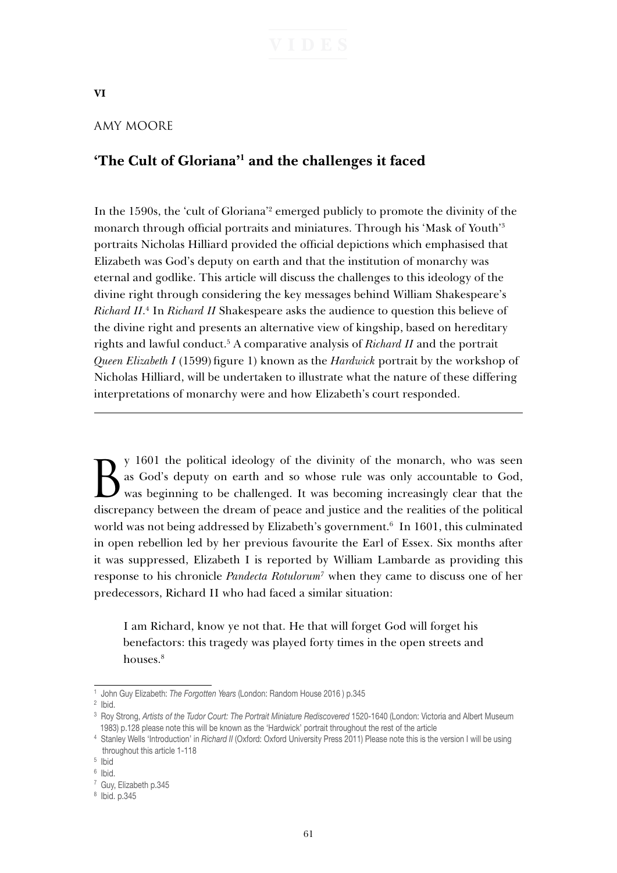**VI**

## AMY MOORE

# **'The Cult of Gloriana'1 and the challenges it faced**

In the 1590s, the 'cult of Gloriana'2 emerged publicly to promote the divinity of the monarch through official portraits and miniatures. Through his 'Mask of Youth'3 portraits Nicholas Hilliard provided the official depictions which emphasised that Elizabeth was God's deputy on earth and that the institution of monarchy was eternal and godlike. This article will discuss the challenges to this ideology of the divine right through considering the key messages behind William Shakespeare's Richard II.<sup>4</sup> In *Richard II* Shakespeare asks the audience to question this believe of the divine right and presents an alternative view of kingship, based on hereditary rights and lawful conduct.5 A comparative analysis of *Richard II* and the portrait *Queen Elizabeth I* (1599) figure 1) known as the *Hardwick* portrait by the workshop of Nicholas Hilliard, will be undertaken to illustrate what the nature of these differing interpretations of monarchy were and how Elizabeth's court responded.

By 1601 the political ideology of the divinity of the monarch, who was seen as God's deputy on earth and so whose rule was only accountable to God, was beginning to be challenged. It was becoming increasingly clear that th as God's deputy on earth and so whose rule was only accountable to God, discrepancy between the dream of peace and justice and the realities of the political world was not being addressed by Elizabeth's government.<sup>6</sup> In 1601, this culminated in open rebellion led by her previous favourite the Earl of Essex. Six months after it was suppressed, Elizabeth I is reported by William Lambarde as providing this response to his chronicle *Pandecta Rotulorum7* when they came to discuss one of her predecessors, Richard II who had faced a similar situation:

I am Richard, know ye not that. He that will forget God will forget his benefactors: this tragedy was played forty times in the open streets and houses.<sup>8</sup>

<sup>1</sup> John Guy Elizabeth: *The Forgotten Years* (London: Random House 2016 ) p.345

<sup>2</sup> Ibid.

<sup>3</sup> Roy Strong, *Artists of the Tudor Court: The Portrait Miniature Rediscovered* 1520-1640 (London: Victoria and Albert Museum 1983) p.128 please note this will be known as the 'Hardwick' portrait throughout the rest of the article

<sup>4</sup> Stanley Wells 'Introduction' in *Richard II* (Oxford: Oxford University Press 2011) Please note this is the version I will be using throughout this article 1-118

<sup>5</sup> Ibid

<sup>6</sup> Ibid.

<sup>7</sup> Guy, Elizabeth p.345

<sup>8</sup> Ibid. p.345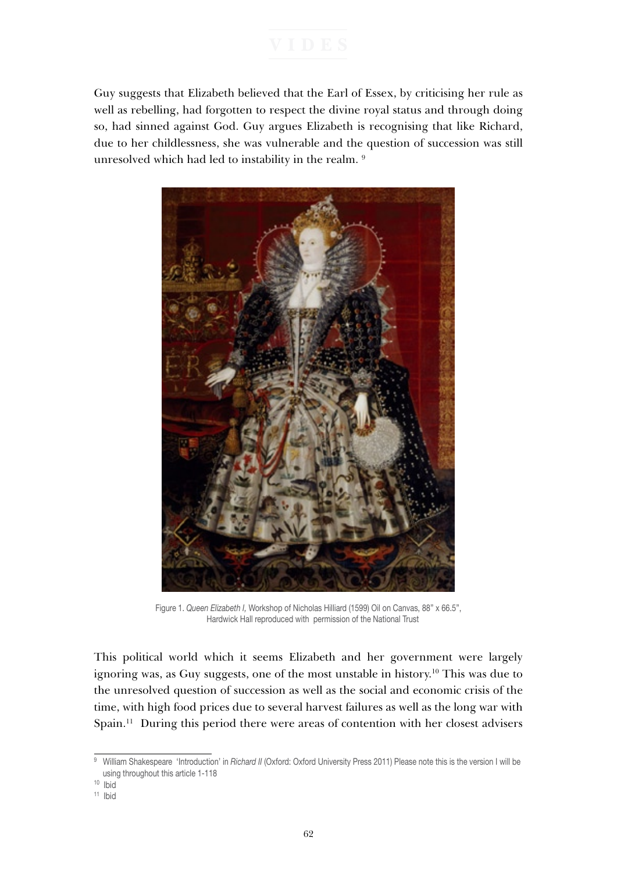Guy suggests that Elizabeth believed that the Earl of Essex, by criticising her rule as well as rebelling, had forgotten to respect the divine royal status and through doing so, had sinned against God. Guy argues Elizabeth is recognising that like Richard, due to her childlessness, she was vulnerable and the question of succession was still unresolved which had led to instability in the realm.<sup>9</sup>



Figure 1. *Queen Elizabeth I,* Workshop of Nicholas Hilliard (1599) Oil on Canvas, 88" x 66.5", Hardwick Hall reproduced with permission of the National Trust

This political world which it seems Elizabeth and her government were largely ignoring was, as Guy suggests, one of the most unstable in history.10 This was due to the unresolved question of succession as well as the social and economic crisis of the time, with high food prices due to several harvest failures as well as the long war with Spain.11 During this period there were areas of contention with her closest advisers

<sup>&</sup>lt;sup>9</sup> William Shakespeare 'Introduction' in *Richard II* (Oxford: Oxford University Press 2011) Please note this is the version I will be using throughout this article 1-118

<sup>10</sup> Ibid

<sup>11</sup> Ibid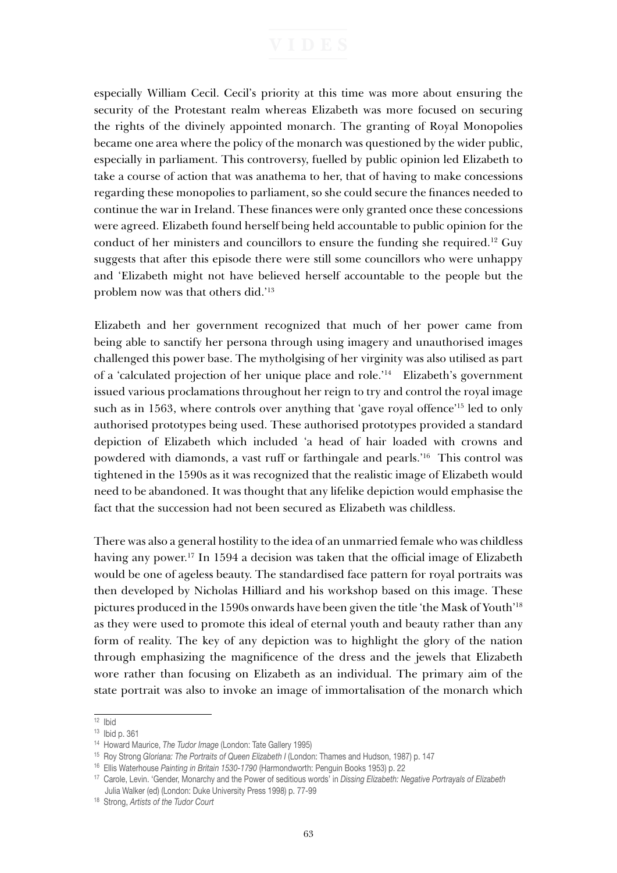especially William Cecil. Cecil's priority at this time was more about ensuring the security of the Protestant realm whereas Elizabeth was more focused on securing the rights of the divinely appointed monarch. The granting of Royal Monopolies became one area where the policy of the monarch was questioned by the wider public, especially in parliament. This controversy, fuelled by public opinion led Elizabeth to take a course of action that was anathema to her, that of having to make concessions regarding these monopolies to parliament, so she could secure the finances needed to continue the war in Ireland. These finances were only granted once these concessions were agreed. Elizabeth found herself being held accountable to public opinion for the conduct of her ministers and councillors to ensure the funding she required.12 Guy suggests that after this episode there were still some councillors who were unhappy and 'Elizabeth might not have believed herself accountable to the people but the problem now was that others did.'13

Elizabeth and her government recognized that much of her power came from being able to sanctify her persona through using imagery and unauthorised images challenged this power base. The mytholgising of her virginity was also utilised as part of a 'calculated projection of her unique place and role.'14 Elizabeth's government issued various proclamations throughout her reign to try and control the royal image such as in 1563, where controls over anything that 'gave royal offence'15 led to only authorised prototypes being used. These authorised prototypes provided a standard depiction of Elizabeth which included 'a head of hair loaded with crowns and powdered with diamonds, a vast ruff or farthingale and pearls.'16 This control was tightened in the 1590s as it was recognized that the realistic image of Elizabeth would need to be abandoned. It was thought that any lifelike depiction would emphasise the fact that the succession had not been secured as Elizabeth was childless.

There was also a general hostility to the idea of an unmarried female who was childless having any power.<sup>17</sup> In 1594 a decision was taken that the official image of Elizabeth would be one of ageless beauty. The standardised face pattern for royal portraits was then developed by Nicholas Hilliard and his workshop based on this image. These pictures produced in the 1590s onwards have been given the title 'the Mask of Youth'18 as they were used to promote this ideal of eternal youth and beauty rather than any form of reality. The key of any depiction was to highlight the glory of the nation through emphasizing the magnificence of the dress and the jewels that Elizabeth wore rather than focusing on Elizabeth as an individual. The primary aim of the state portrait was also to invoke an image of immortalisation of the monarch which

 $12$  Ibid

<sup>13</sup> Ibid p. 361

<sup>&</sup>lt;sup>14</sup> Howard Maurice, *The Tudor Image* (London: Tate Gallery 1995)<br><sup>15</sup> Roy Strong Gloriana: *The Portraits of Queen Elizabeth I* (London: Thames and Hudson, 1987) p. 147<br><sup>16</sup> Ellis Waterhouse Painting in Britain 1530-1790 Julia Walker (ed) (London: Duke University Press 1998) p. 77-99

<sup>18</sup> Strong, *Artists of the Tudor Court*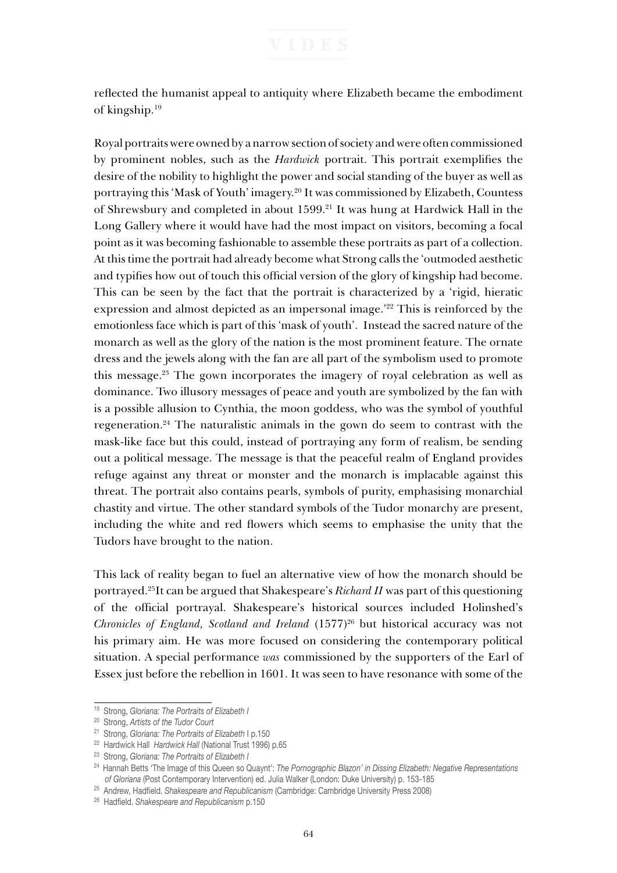reflected the humanist appeal to antiquity where Elizabeth became the embodiment of kingship.19

Royal portraits were owned by a narrow section of society and were often commissioned by prominent nobles, such as the *Hardwick* portrait. This portrait exemplifies the desire of the nobility to highlight the power and social standing of the buyer as well as portraying this 'Mask of Youth' imagery.20 It was commissioned by Elizabeth, Countess of Shrewsbury and completed in about 1599.21 It was hung at Hardwick Hall in the Long Gallery where it would have had the most impact on visitors, becoming a focal point as it was becoming fashionable to assemble these portraits as part of a collection. At this time the portrait had already become what Strong calls the 'outmoded aesthetic and typifies how out of touch this official version of the glory of kingship had become. This can be seen by the fact that the portrait is characterized by a 'rigid, hieratic expression and almost depicted as an impersonal image.'<sup>22</sup> This is reinforced by the emotionless face which is part of this 'mask of youth'. Instead the sacred nature of the monarch as well as the glory of the nation is the most prominent feature. The ornate dress and the jewels along with the fan are all part of the symbolism used to promote this message.23 The gown incorporates the imagery of royal celebration as well as dominance. Two illusory messages of peace and youth are symbolized by the fan with is a possible allusion to Cynthia, the moon goddess, who was the symbol of youthful regeneration.24 The naturalistic animals in the gown do seem to contrast with the mask-like face but this could, instead of portraying any form of realism, be sending out a political message. The message is that the peaceful realm of England provides refuge against any threat or monster and the monarch is implacable against this threat. The portrait also contains pearls, symbols of purity, emphasising monarchial chastity and virtue. The other standard symbols of the Tudor monarchy are present, including the white and red flowers which seems to emphasise the unity that the Tudors have brought to the nation.

This lack of reality began to fuel an alternative view of how the monarch should be portrayed.25It can be argued that Shakespeare's *Richard II* was part of this questioning of the official portrayal. Shakespeare's historical sources included Holinshed's *Chronicles of England, Scotland and Ireland* (1577)<sup>26</sup> but historical accuracy was not his primary aim. He was more focused on considering the contemporary political situation. A special performance *was* commissioned by the supporters of the Earl of Essex just before the rebellion in 1601. It was seen to have resonance with some of the

<sup>25</sup> Andrew, Hadfield. *Shakespeare and Republicanism* (Cambridge: Cambridge University Press 2008)

<sup>19</sup> Strong, *Gloriana: The Portraits of Elizabeth I* 

<sup>20</sup> Strong, *Artists of the Tudor Court*

<sup>21</sup> Strong, *Gloriana: The Portraits of Elizabeth* I p.150 22 Hardwick Hall *Hardwick Hall* (National Trust 1996) p.65 23 Strong, *Gloriana: The Portraits of Elizabeth I* 

<sup>24</sup> Hannah Betts 'The Image of this Queen so Quaynt': *The Pornographic Blazon' in Dissing Elizabeth: Negative Representations of Gloriana* (Post Contemporary Intervention) ed. Julia Walker (London: Duke University) p. 153-185

<sup>26</sup> Hadfield. *Shakespeare and Republicanism* p.150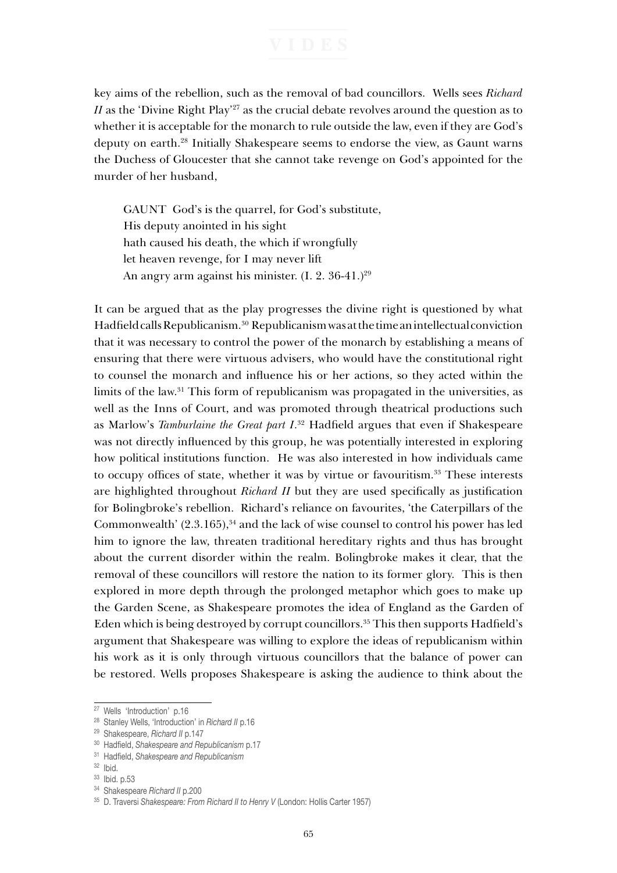key aims of the rebellion, such as the removal of bad councillors. Wells sees *Richard II* as the 'Divine Right Play'<sup>27</sup> as the crucial debate revolves around the question as to whether it is acceptable for the monarch to rule outside the law, even if they are God's deputy on earth.28 Initially Shakespeare seems to endorse the view, as Gaunt warns the Duchess of Gloucester that she cannot take revenge on God's appointed for the murder of her husband,

GAUNT God's is the quarrel, for God's substitute, His deputy anointed in his sight hath caused his death, the which if wrongfully let heaven revenge, for I may never lift An angry arm against his minister.  $(I. 2. 36-41.)^{29}$ 

It can be argued that as the play progresses the divine right is questioned by what Hadfield calls Republicanism.30 Republicanism was at the time an intellectual conviction that it was necessary to control the power of the monarch by establishing a means of ensuring that there were virtuous advisers, who would have the constitutional right to counsel the monarch and influence his or her actions, so they acted within the limits of the law.31 This form of republicanism was propagated in the universities, as well as the Inns of Court, and was promoted through theatrical productions such as Marlow's *Tamburlaine the Great part I*. <sup>32</sup> Hadfield argues that even if Shakespeare was not directly influenced by this group, he was potentially interested in exploring how political institutions function. He was also interested in how individuals came to occupy offices of state, whether it was by virtue or favouritism.<sup>33</sup> These interests are highlighted throughout *Richard II* but they are used specifically as justification for Bolingbroke's rebellion. Richard's reliance on favourites, 'the Caterpillars of the Commonwealth'  $(2.3.165)$ ,<sup>34</sup> and the lack of wise counsel to control his power has led him to ignore the law, threaten traditional hereditary rights and thus has brought about the current disorder within the realm. Bolingbroke makes it clear, that the removal of these councillors will restore the nation to its former glory. This is then explored in more depth through the prolonged metaphor which goes to make up the Garden Scene, as Shakespeare promotes the idea of England as the Garden of Eden which is being destroyed by corrupt councillors.<sup>35</sup> This then supports Hadfield's argument that Shakespeare was willing to explore the ideas of republicanism within his work as it is only through virtuous councillors that the balance of power can be restored. Wells proposes Shakespeare is asking the audience to think about the

<sup>27</sup> Wells 'Introduction' p.16

<sup>28</sup> Stanley Wells, 'Introduction' in *Richard II* p.16

<sup>29</sup> Shakespeare, *Richard II* p.147

<sup>30</sup> Hadfield, *Shakespeare and Republicanism* p.17

<sup>31</sup> Hadfield, *Shakespeare and Republicanism* 

<sup>32</sup> Ibid.

<sup>33</sup> Ibid. p.53

<sup>34</sup> Shakespeare *Richard II* p.200

<sup>35</sup> D. Traversi *Shakespeare: From Richard II to Henry V* (London: Hollis Carter 1957)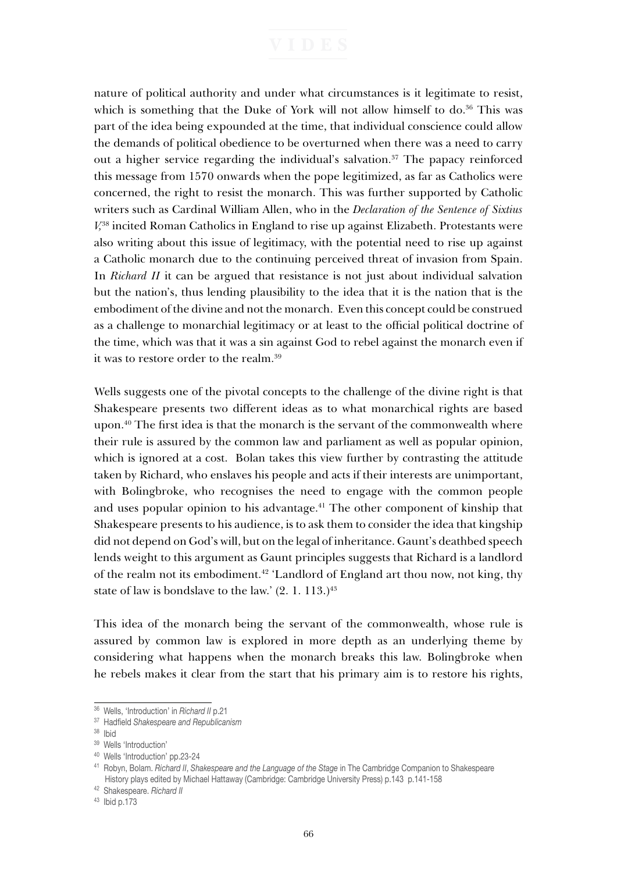nature of political authority and under what circumstances is it legitimate to resist, which is something that the Duke of York will not allow himself to  $d\rho^{36}$ . This was part of the idea being expounded at the time, that individual conscience could allow the demands of political obedience to be overturned when there was a need to carry out a higher service regarding the individual's salvation.<sup>37</sup> The papacy reinforced this message from 1570 onwards when the pope legitimized, as far as Catholics were concerned, the right to resist the monarch. This was further supported by Catholic writers such as Cardinal William Allen, who in the *Declaration of the Sentence of Sixtius V,*38 incited Roman Catholics in England to rise up against Elizabeth. Protestants were also writing about this issue of legitimacy, with the potential need to rise up against a Catholic monarch due to the continuing perceived threat of invasion from Spain. In *Richard II* it can be argued that resistance is not just about individual salvation but the nation's, thus lending plausibility to the idea that it is the nation that is the embodiment of the divine and not the monarch. Even this concept could be construed as a challenge to monarchial legitimacy or at least to the official political doctrine of the time, which was that it was a sin against God to rebel against the monarch even if it was to restore order to the realm.39

Wells suggests one of the pivotal concepts to the challenge of the divine right is that Shakespeare presents two different ideas as to what monarchical rights are based upon.40 The first idea is that the monarch is the servant of the commonwealth where their rule is assured by the common law and parliament as well as popular opinion, which is ignored at a cost. Bolan takes this view further by contrasting the attitude taken by Richard, who enslaves his people and acts if their interests are unimportant, with Bolingbroke, who recognises the need to engage with the common people and uses popular opinion to his advantage.<sup>41</sup> The other component of kinship that Shakespeare presents to his audience, is to ask them to consider the idea that kingship did not depend on God's will, but on the legal of inheritance. Gaunt's deathbed speech lends weight to this argument as Gaunt principles suggests that Richard is a landlord of the realm not its embodiment.42 'Landlord of England art thou now, not king, thy state of law is bondslave to the law.'  $(2. 1. 113.)^{43}$ 

This idea of the monarch being the servant of the commonwealth, whose rule is assured by common law is explored in more depth as an underlying theme by considering what happens when the monarch breaks this law. Bolingbroke when he rebels makes it clear from the start that his primary aim is to restore his rights,

<sup>36</sup> Wells, 'Introduction' in *Richard II* p.21

<sup>37</sup> Hadfield *Shakespeare and Republicanism* 

<sup>38</sup> Ibid

<sup>&</sup>lt;sup>39</sup> Wells 'Introduction'

<sup>40</sup> Wells 'Introduction' pp.23-24

<sup>41</sup> Robyn, Bolam. *Richard II*, *Shakespeare and the Language of the Stage* in The Cambridge Companion to Shakespeare History plays edited by Michael Hattaway (Cambridge: Cambridge University Press) p.143 p.141-158

<sup>42</sup> Shakespeare. *Richard II* 

<sup>43</sup> Ibid p.173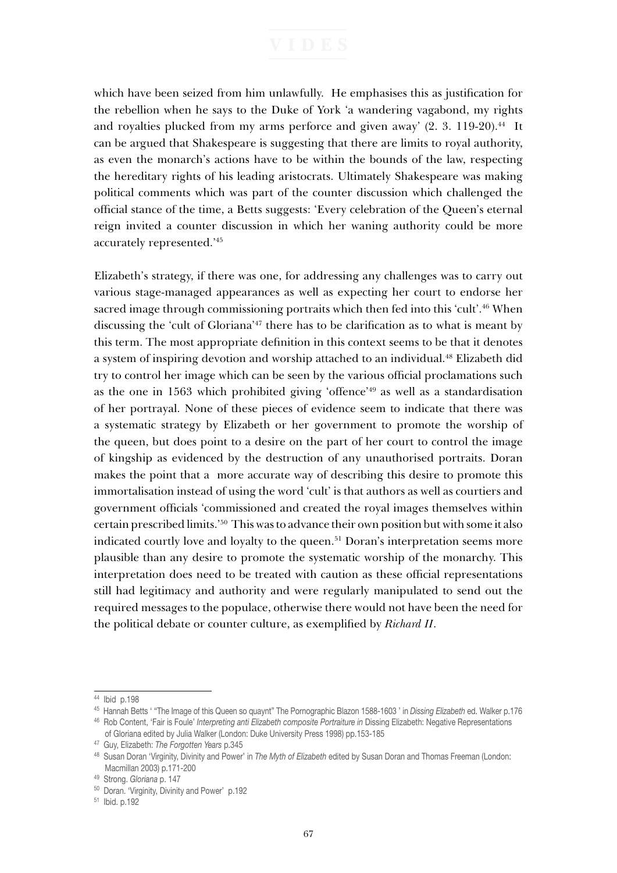which have been seized from him unlawfully. He emphasises this as justification for the rebellion when he says to the Duke of York 'a wandering vagabond, my rights and royalties plucked from my arms perforce and given away'  $(2, 3, 119-20).$ <sup>44</sup> It can be argued that Shakespeare is suggesting that there are limits to royal authority, as even the monarch's actions have to be within the bounds of the law, respecting the hereditary rights of his leading aristocrats. Ultimately Shakespeare was making political comments which was part of the counter discussion which challenged the official stance of the time, a Betts suggests: 'Every celebration of the Queen's eternal reign invited a counter discussion in which her waning authority could be more accurately represented.'45

Elizabeth's strategy, if there was one, for addressing any challenges was to carry out various stage-managed appearances as well as expecting her court to endorse her sacred image through commissioning portraits which then fed into this 'cult'.46 When discussing the 'cult of Gloriana'<sup>47</sup> there has to be clarification as to what is meant by this term. The most appropriate definition in this context seems to be that it denotes a system of inspiring devotion and worship attached to an individual.48 Elizabeth did try to control her image which can be seen by the various official proclamations such as the one in 1563 which prohibited giving 'offence'49 as well as a standardisation of her portrayal. None of these pieces of evidence seem to indicate that there was a systematic strategy by Elizabeth or her government to promote the worship of the queen, but does point to a desire on the part of her court to control the image of kingship as evidenced by the destruction of any unauthorised portraits. Doran makes the point that a more accurate way of describing this desire to promote this immortalisation instead of using the word 'cult' is that authors as well as courtiers and government officials 'commissioned and created the royal images themselves within certain prescribed limits.'50 This was to advance their own position but with some it also indicated courtly love and loyalty to the queen.<sup>51</sup> Doran's interpretation seems more plausible than any desire to promote the systematic worship of the monarchy. This interpretation does need to be treated with caution as these official representations still had legitimacy and authority and were regularly manipulated to send out the required messages to the populace, otherwise there would not have been the need for the political debate or counter culture, as exemplified by *Richard II*.

<sup>44</sup> Ibid p.198

<sup>45</sup> Hannah Betts ' "The Image of this Queen so quaynt" The Pornographic Blazon 1588-1603 ' in *Dissing Elizabeth* ed. Walker p.176 46 Rob Content, 'Fair is Foule' *Interpreting anti Elizabeth composite Portraiture in* Dissing Elizabeth: Negative Representations

of Gloriana edited by Julia Walker (London: Duke University Press 1998) pp.153-185<br><sup>47</sup> Guy, Elizabeth: *The Forgotten Years* p.345<br><sup>48</sup> Susan Doran 'Virginity. Divinity and Power' in *The Myth of Elizabeth* edited by Susa

Macmillan 2003) p.171-200<br><sup>49</sup> Strong. *Gloriana* p. 147

<sup>&</sup>lt;sup>50</sup> Doran. 'Virginity, Divinity and Power' p.192

<sup>51</sup> Ibid. p.192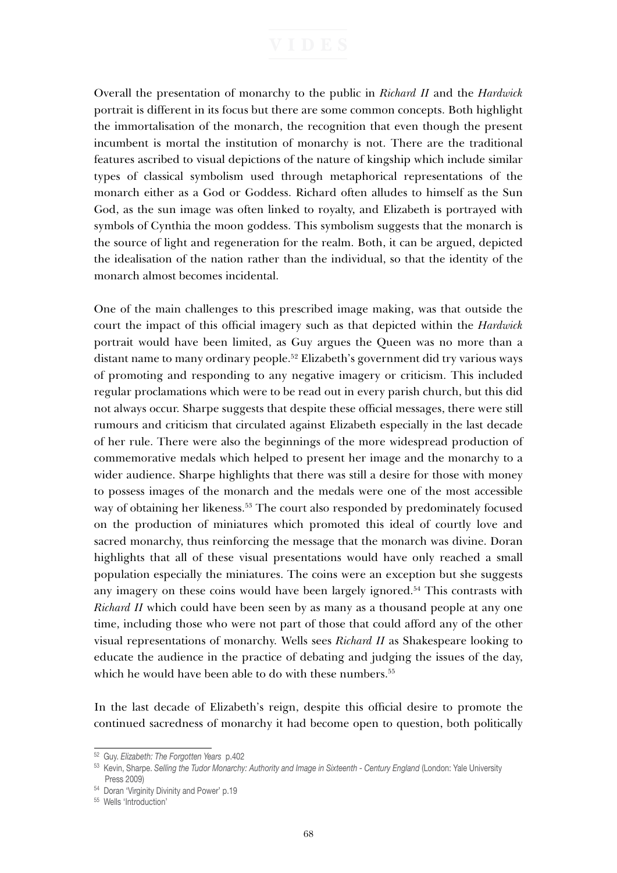Overall the presentation of monarchy to the public in *Richard II* and the *Hardwick*  portrait is different in its focus but there are some common concepts. Both highlight the immortalisation of the monarch, the recognition that even though the present incumbent is mortal the institution of monarchy is not. There are the traditional features ascribed to visual depictions of the nature of kingship which include similar types of classical symbolism used through metaphorical representations of the monarch either as a God or Goddess. Richard often alludes to himself as the Sun God, as the sun image was often linked to royalty, and Elizabeth is portrayed with symbols of Cynthia the moon goddess. This symbolism suggests that the monarch is the source of light and regeneration for the realm. Both, it can be argued, depicted the idealisation of the nation rather than the individual, so that the identity of the monarch almost becomes incidental.

One of the main challenges to this prescribed image making, was that outside the court the impact of this official imagery such as that depicted within the *Hardwick* portrait would have been limited, as Guy argues the Queen was no more than a distant name to many ordinary people.52 Elizabeth's government did try various ways of promoting and responding to any negative imagery or criticism. This included regular proclamations which were to be read out in every parish church, but this did not always occur. Sharpe suggests that despite these official messages, there were still rumours and criticism that circulated against Elizabeth especially in the last decade of her rule. There were also the beginnings of the more widespread production of commemorative medals which helped to present her image and the monarchy to a wider audience. Sharpe highlights that there was still a desire for those with money to possess images of the monarch and the medals were one of the most accessible way of obtaining her likeness.<sup>53</sup> The court also responded by predominately focused on the production of miniatures which promoted this ideal of courtly love and sacred monarchy, thus reinforcing the message that the monarch was divine. Doran highlights that all of these visual presentations would have only reached a small population especially the miniatures. The coins were an exception but she suggests any imagery on these coins would have been largely ignored.<sup>54</sup> This contrasts with *Richard II* which could have been seen by as many as a thousand people at any one time, including those who were not part of those that could afford any of the other visual representations of monarchy. Wells sees *Richard II* as Shakespeare looking to educate the audience in the practice of debating and judging the issues of the day, which he would have been able to do with these numbers.<sup>55</sup>

In the last decade of Elizabeth's reign, despite this official desire to promote the continued sacredness of monarchy it had become open to question, both politically

<sup>52</sup> Guy. *Elizabeth: The Forgotten Years* p.402

<sup>53</sup> Kevin, Sharpe. *Selling the Tudor Monarchy: Authority and Image in Sixteenth - Century England* (London: Yale University Press 2009)

<sup>54</sup> Doran 'Virginity Divinity and Power' p.19

<sup>55</sup> Wells 'Introduction'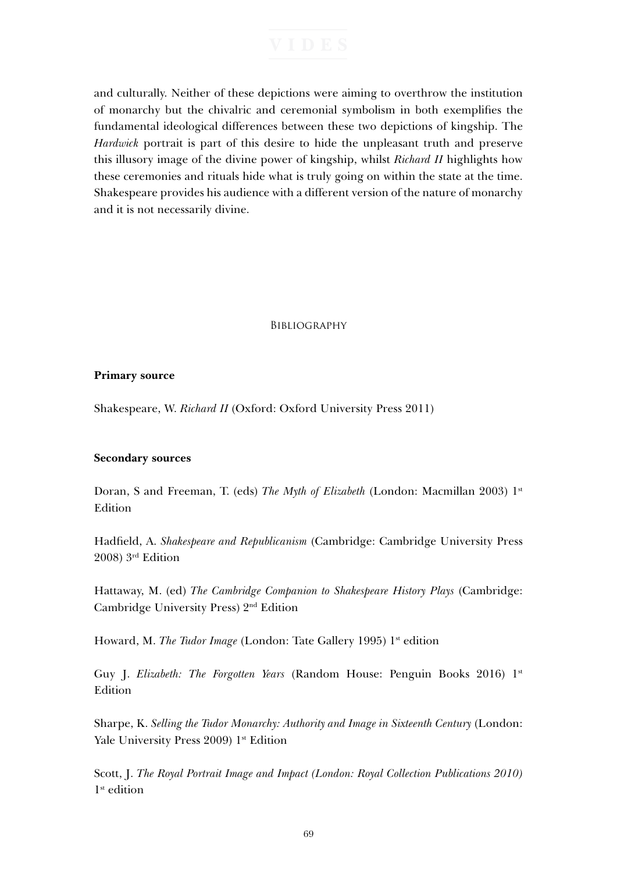and culturally. Neither of these depictions were aiming to overthrow the institution of monarchy but the chivalric and ceremonial symbolism in both exemplifies the fundamental ideological differences between these two depictions of kingship. The *Hardwick* portrait is part of this desire to hide the unpleasant truth and preserve this illusory image of the divine power of kingship, whilst *Richard II* highlights how these ceremonies and rituals hide what is truly going on within the state at the time. Shakespeare provides his audience with a different version of the nature of monarchy and it is not necessarily divine.

### **BIBLIOGRAPHY**

### **Primary source**

Shakespeare, W. *Richard II* (Oxford: Oxford University Press 2011)

### **Secondary sources**

Doran, S and Freeman, T. (eds) *The Myth of Elizabeth* (London: Macmillan 2003) 1st Edition

Hadfield, A. *Shakespeare and Republicanism* (Cambridge: Cambridge University Press 2008) 3rd Edition

Hattaway, M. (ed) *The Cambridge Companion to Shakespeare History Plays* (Cambridge: Cambridge University Press) 2nd Edition

Howard, M. *The Tudor Image* (London: Tate Gallery 1995) 1<sup>st</sup> edition

Guy J. *Elizabeth: The Forgotten Years* (Random House: Penguin Books 2016) 1st Edition

Sharpe, K. *Selling the Tudor Monarchy: Authority and Image in Sixteenth Century* (London: Yale University Press 2009) 1<sup>st</sup> Edition

Scott, J. *The Royal Portrait Image and Impact (London: Royal Collection Publications 2010)*  1st edition